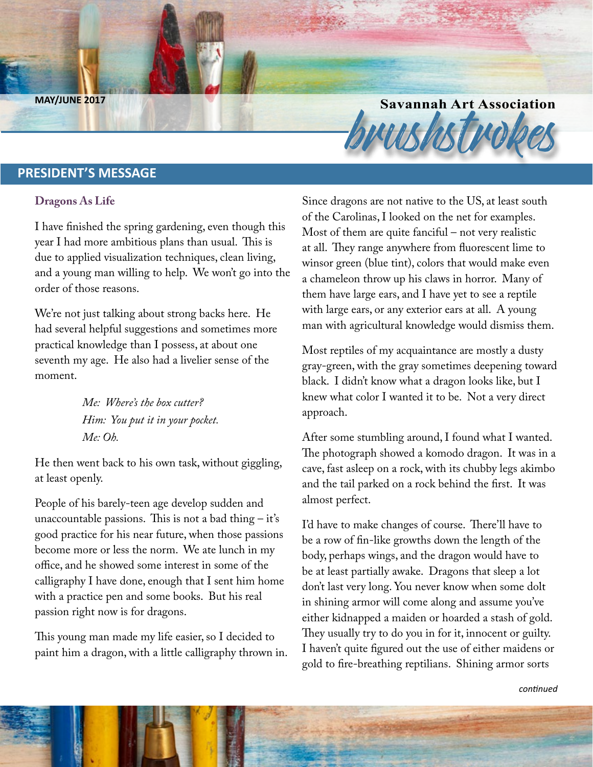**Savannah Art Association**<br>Brush MAY/JUNE 2017

#### **PRESIDENT'S MESSAGE**

#### **Dragons As Life**

I have finished the spring gardening, even though this year I had more ambitious plans than usual. This is due to applied visualization techniques, clean living, and a young man willing to help. We won't go into the order of those reasons.

We're not just talking about strong backs here. He had several helpful suggestions and sometimes more practical knowledge than I possess, at about one seventh my age. He also had a livelier sense of the moment.

> *Me: Where's the box cutter? Him: You put it in your pocket. Me: Oh.*

He then went back to his own task, without giggling, at least openly.

People of his barely-teen age develop sudden and unaccountable passions. This is not a bad thing  $-$  it's good practice for his near future, when those passions become more or less the norm. We ate lunch in my office, and he showed some interest in some of the calligraphy I have done, enough that I sent him home with a practice pen and some books. But his real passion right now is for dragons.

This young man made my life easier, so I decided to paint him a dragon, with a little calligraphy thrown in. Since dragons are not native to the US, at least south of the Carolinas, I looked on the net for examples. Most of them are quite fanciful – not very realistic at all. They range anywhere from fluorescent lime to winsor green (blue tint), colors that would make even a chameleon throw up his claws in horror. Many of them have large ears, and I have yet to see a reptile with large ears, or any exterior ears at all. A young man with agricultural knowledge would dismiss them.

Most reptiles of my acquaintance are mostly a dusty gray-green, with the gray sometimes deepening toward black. I didn't know what a dragon looks like, but I knew what color I wanted it to be. Not a very direct approach.

After some stumbling around, I found what I wanted. The photograph showed a komodo dragon. It was in a cave, fast asleep on a rock, with its chubby legs akimbo and the tail parked on a rock behind the first. It was almost perfect.

I'd have to make changes of course. There'll have to be a row of fin-like growths down the length of the body, perhaps wings, and the dragon would have to be at least partially awake. Dragons that sleep a lot don't last very long. You never know when some dolt in shining armor will come along and assume you've either kidnapped a maiden or hoarded a stash of gold. They usually try to do you in for it, innocent or guilty. I haven't quite figured out the use of either maidens or gold to fire-breathing reptilians. Shining armor sorts

*continued*

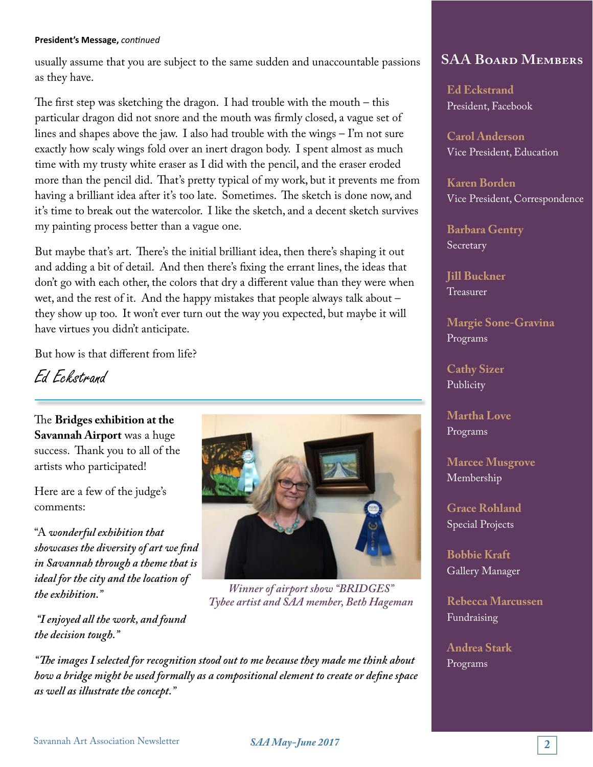#### **President's Message,** *continued*

usually assume that you are subject to the same sudden and unaccountable passions as they have.

The first step was sketching the dragon. I had trouble with the mouth  $-$  this particular dragon did not snore and the mouth was firmly closed, a vague set of lines and shapes above the jaw. I also had trouble with the wings – I'm not sure exactly how scaly wings fold over an inert dragon body. I spent almost as much time with my trusty white eraser as I did with the pencil, and the eraser eroded more than the pencil did. That's pretty typical of my work, but it prevents me from having a brilliant idea after it's too late. Sometimes. The sketch is done now, and it's time to break out the watercolor. I like the sketch, and a decent sketch survives my painting process better than a vague one.

But maybe that's art. There's the initial brilliant idea, then there's shaping it out and adding a bit of detail. And then there's fixing the errant lines, the ideas that don't go with each other, the colors that dry a different value than they were when wet, and the rest of it. And the happy mistakes that people always talk about – they show up too. It won't ever turn out the way you expected, but maybe it will have virtues you didn't anticipate.

But how is that different from life?

Ed Eckstrand

The **Bridges exhibition at the Savannah Airport** was a huge success. Thank you to all of the artists who participated!

Here are a few of the judge's comments:

"A *wonderful exhibition that showcases the diversity of art we find in Savannah through a theme that is ideal for the city and the location of the exhibition."*

 *"I enjoyed all the work, and found the decision tough."*

*"The images I selected for recognition stood out to me because they made me think about how a bridge might be used formally as a compositional element to create or define space as well as illustrate the concept."*



*Winner of airport show "BRIDGES" Tybee artist and SAA member, Beth Hageman*

### **SAA Board Members**

**Ed Eckstrand** President, Facebook

**Carol Anderson** Vice President, Education

**Karen Borden** Vice President, Correspondence

**Barbara Gentry** Secretary

**Jill Buckner** Treasurer

**Margie Sone-Gravina** Programs

**Cathy Sizer** Publicity

**Martha Love** Programs

**Marcee Musgrove** Membership

**Grace Rohland** Special Projects

**Bobbie Kraft** Gallery Manager

**Rebecca Marcussen** Fundraising

**Andrea Stark** Programs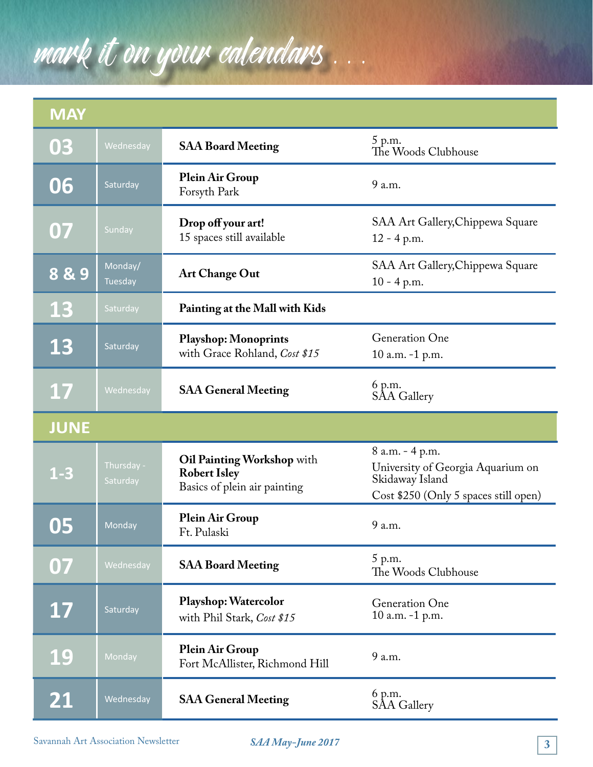## mark it on your calendars . . .

| <b>MAY</b>      |                        |                                                                                   |                                                                                                                  |
|-----------------|------------------------|-----------------------------------------------------------------------------------|------------------------------------------------------------------------------------------------------------------|
| 03              | Wednesday              | <b>SAA Board Meeting</b>                                                          | 5 p.m.<br>The Woods Clubhouse                                                                                    |
| 06              | Saturday               | Plein Air Group<br>Forsyth Park                                                   | 9 a.m.                                                                                                           |
| 07              | Sunday                 | Drop off your art!<br>15 spaces still available                                   | SAA Art Gallery, Chippewa Square<br>$12 - 4 p.m.$                                                                |
| 889             | Monday/<br>Tuesday     | <b>Art Change Out</b>                                                             | SAA Art Gallery, Chippewa Square<br>$10 - 4$ p.m.                                                                |
| <b>13</b>       | Saturday               | Painting at the Mall with Kids                                                    |                                                                                                                  |
| 13              | Saturday               | <b>Playshop: Monoprints</b><br>with Grace Rohland, Cost \$15                      | Generation One<br>10 a.m. -1 p.m.                                                                                |
| 17              | Wednesday              | <b>SAA General Meeting</b>                                                        | 6 p.m.<br><b>SAA Gallery</b>                                                                                     |
| <b>JUNE</b>     |                        |                                                                                   |                                                                                                                  |
| $1 - 3$         | Thursday -<br>Saturday | Oil Painting Workshop with<br><b>Robert Isley</b><br>Basics of plein air painting | 8 a.m. - 4 p.m.<br>University of Georgia Aquarium on<br>Skidaway Island<br>Cost \$250 (Only 5 spaces still open) |
| 05              | Monday                 | Plein Air Group<br>Ft. Pulaski                                                    | 9 a.m.                                                                                                           |
| 07              | Wednesday              | <b>SAA Board Meeting</b>                                                          | 5 p.m.<br>The Woods Clubhouse                                                                                    |
| 17              | Saturday               | Playshop: Watercolor<br>with Phil Stark, Cost \$15                                | Generation One<br>10 a.m. -1 p.m.                                                                                |
| <b>19</b>       | Monday                 | Plein Air Group<br>Fort McAllister, Richmond Hill                                 | 9 a.m.                                                                                                           |
| $\overline{21}$ | Wednesday              | <b>SAA General Meeting</b>                                                        | 6 p.m.<br><b>SAA Gallery</b>                                                                                     |

*SAA May-June 2017* **3** Savannah Art Association Newsletter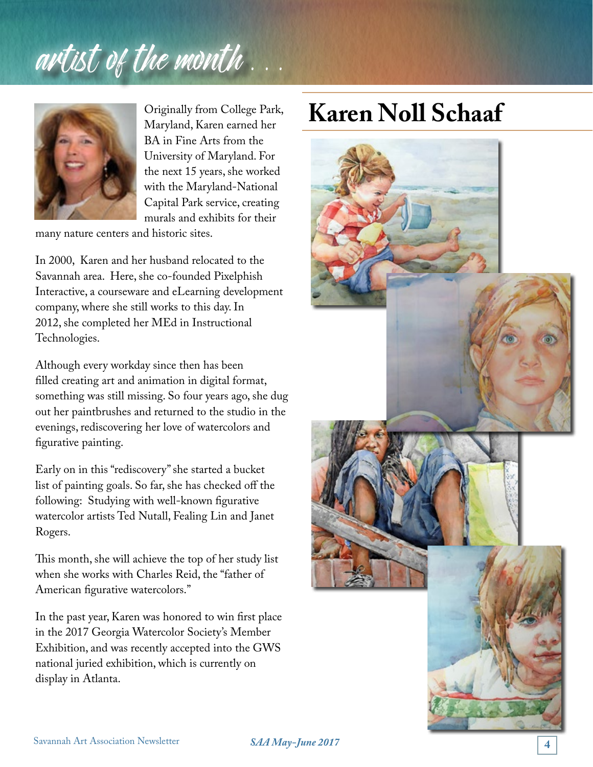## artist of the month.



Originally from College Park, Maryland, Karen earned her BA in Fine Arts from the University of Maryland. For the next 15 years, she worked with the Maryland-National Capital Park service, creating murals and exhibits for their

many nature centers and historic sites.

In 2000, Karen and her husband relocated to the Savannah area. Here, she co-founded Pixelphish Interactive, a courseware and eLearning development company, where she still works to this day. In 2012, she completed her MEd in Instructional Technologies.

Although every workday since then has been filled creating art and animation in digital format, something was still missing. So four years ago, she dug out her paintbrushes and returned to the studio in the evenings, rediscovering her love of watercolors and figurative painting.

Early on in this "rediscovery" she started a bucket list of painting goals. So far, she has checked off the following: Studying with well-known figurative watercolor artists Ted Nutall, Fealing Lin and Janet Rogers.

This month, she will achieve the top of her study list when she works with Charles Reid, the "father of American figurative watercolors."

In the past year, Karen was honored to win first place in the 2017 Georgia Watercolor Society's Member Exhibition, and was recently accepted into the GWS national juried exhibition, which is currently on display in Atlanta.

### **Karen Noll Schaaf**